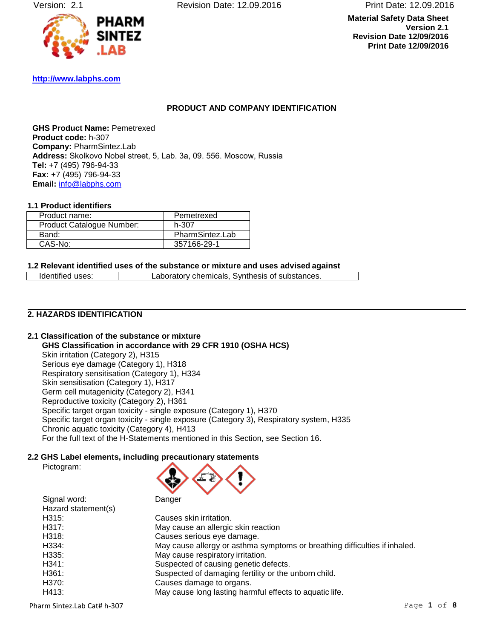Version: 2.1 Revision Date: 12.09.2016 Print Date: 12.09.2016

**Material Safety Data Sheet Version 2.1 Revision Date 12/09/2016 Print Date 12/09/2016**



**[http://www.labphs.com](http://www.labphs.com/)**

# <span id="page-0-2"></span><span id="page-0-1"></span><span id="page-0-0"></span>**PRODUCT AND COMPANY IDENTIFICATION**

**GHS Product Name:** Pemetrexed **Product code:** h-307 **Company:** PharmSintez.Lab **Address:** Skolkovo Nobel street, 5, Lab. 3а, 09. 556. Moscow, Russia **Tel:** +7 (495) 796-94-33 **Fax:** +7 (495) 796-94-33 **Email:** [info@labphs.com](mailto:info@labphs.com)

## **1.1 Product identifiers**

| Product name:             | Pemetrexed      |
|---------------------------|-----------------|
| Product Catalogue Number: | h-307           |
| Band:                     | PharmSintez.Lab |
| CAS-No:                   | 357166-29-1     |

#### **1.2 Relevant identified uses of the substance or mixture and uses advised against**

Identified uses: Laboratory chemicals, Synthesis of substances.

# **2. HAZARDS IDENTIFICATION**

**2.1 Classification of the substance or mixture GHS Classification in accordance with 29 CFR 1910 (OSHA HCS)** Skin irritation (Category 2), H315 Serious eye damage (Category 1), H318 Respiratory sensitisation (Category 1), H334 Skin sensitisation (Category 1), H317 Germ cell mutagenicity (Category 2), H341 Reproductive toxicity (Category 2), H361 Specific target organ toxicity - single exposure (Category 1), H370 Specific target organ toxicity - single exposure (Category 3), Respiratory system, H335 Chronic aquatic toxicity (Category 4), H413 For the full text of the H-Statements mentioned in this Section, see Section 16.

#### **2.2 GHS Label elements, including precautionary statements**

Signal word:



| olynal woru.        | Danger                                                                     |
|---------------------|----------------------------------------------------------------------------|
| Hazard statement(s) |                                                                            |
| H315:               | Causes skin irritation.                                                    |
| H317:               | May cause an allergic skin reaction                                        |
| H318:               | Causes serious eye damage.                                                 |
| H334:               | May cause allergy or asthma symptoms or breathing difficulties if inhaled. |
| H335:               | May cause respiratory irritation.                                          |
| H341:               | Suspected of causing genetic defects.                                      |
| H361:               | Suspected of damaging fertility or the unborn child.                       |
| H370:               | Causes damage to organs.                                                   |
| H413:               | May cause long lasting harmful effects to aquatic life.                    |
|                     |                                                                            |

Pharm Sintez.Lab Cat# [h-307](#page-0-0) Page 1 of 8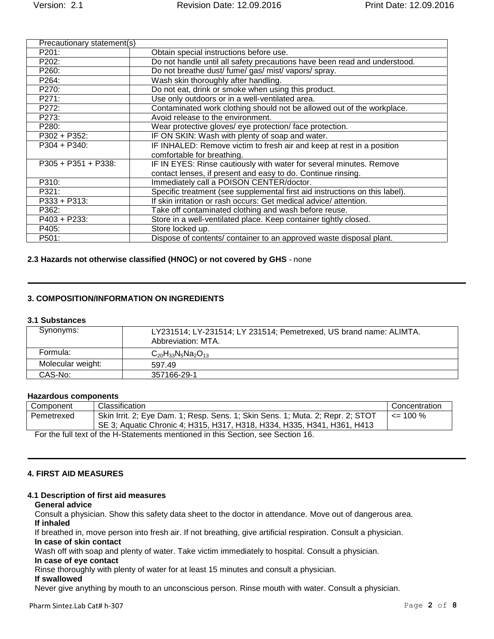| Precautionary statement(s) |                                                                             |
|----------------------------|-----------------------------------------------------------------------------|
| P201:                      | Obtain special instructions before use.                                     |
| P202:                      | Do not handle until all safety precautions have been read and understood.   |
| P260:                      | Do not breathe dust/ fume/ gas/ mist/ vapors/ spray.                        |
| P264:                      | Wash skin thoroughly after handling.                                        |
| P270:                      | Do not eat, drink or smoke when using this product.                         |
| P271:                      | Use only outdoors or in a well-ventilated area.                             |
| P272:                      | Contaminated work clothing should not be allowed out of the workplace.      |
| P273:                      | Avoid release to the environment.                                           |
| P280:                      | Wear protective gloves/ eye protection/ face protection.                    |
| P302 + P352:               | IF ON SKIN: Wash with plenty of soap and water.                             |
| $P304 + P340$ :            | IF INHALED: Remove victim to fresh air and keep at rest in a position       |
|                            | comfortable for breathing.                                                  |
| $P305 + P351 + P338$ :     | IF IN EYES: Rinse cautiously with water for several minutes. Remove         |
|                            | contact lenses, if present and easy to do. Continue rinsing.                |
| P310:                      | Immediately call a POISON CENTER/doctor.                                    |
| P321:                      | Specific treatment (see supplemental first aid instructions on this label). |
| $P333 + P313$ :            | If skin irritation or rash occurs: Get medical advice/attention.            |
| P362:                      | Take off contaminated clothing and wash before reuse.                       |
| P403 + P233:               | Store in a well-ventilated place. Keep container tightly closed.            |
| P405:                      | Store locked up.                                                            |
| P501:                      | Dispose of contents/ container to an approved waste disposal plant.         |

## **2.3 Hazards not otherwise classified (HNOC) or not covered by GHS** - none

## **3. COMPOSITION/INFORMATION ON INGREDIENTS**

### **3.1 Substances**

| Synonyms:         | LY231514; LY-231514; LY 231514; Pemetrexed, US brand name: ALIMTA.<br>Abbreviation: MTA. |
|-------------------|------------------------------------------------------------------------------------------|
| Formula:          | $C_{20}H_{33}N_5Na_2O_{13}$                                                              |
| Molecular weight: | 597.49                                                                                   |
| CAS-No:           | 357166-29-1                                                                              |

## **Hazardous components**

| Component                                                                       | Classification                                                                 | Concentration |
|---------------------------------------------------------------------------------|--------------------------------------------------------------------------------|---------------|
| Pemetrexed                                                                      | Skin Irrit. 2; Eye Dam. 1; Resp. Sens. 1; Skin Sens. 1; Muta. 2; Repr. 2; STOT | $\leq$ 100 %  |
|                                                                                 | SE 3; Aquatic Chronic 4; H315, H317, H318, H334, H335, H341, H361, H413        |               |
| For the full text of the H-Statements mentioned in this Section, see Section 16 |                                                                                |               |

For the full text of the H-Statements mentioned in this Section, see Section 16.

#### **4. FIRST AID MEASURES**

#### **4.1 Description of first aid measures**

#### **General advice**

Consult a physician. Show this safety data sheet to the doctor in attendance. Move out of dangerous area. **If inhaled**

If breathed in, move person into fresh air. If not breathing, give artificial respiration. Consult a physician. **In case of skin contact**

Wash off with soap and plenty of water. Take victim immediately to hospital. Consult a physician.

#### **In case of eye contact**

Rinse thoroughly with plenty of water for at least 15 minutes and consult a physician.

### **If swallowed**

Never give anything by mouth to an unconscious person. Rinse mouth with water. Consult a physician.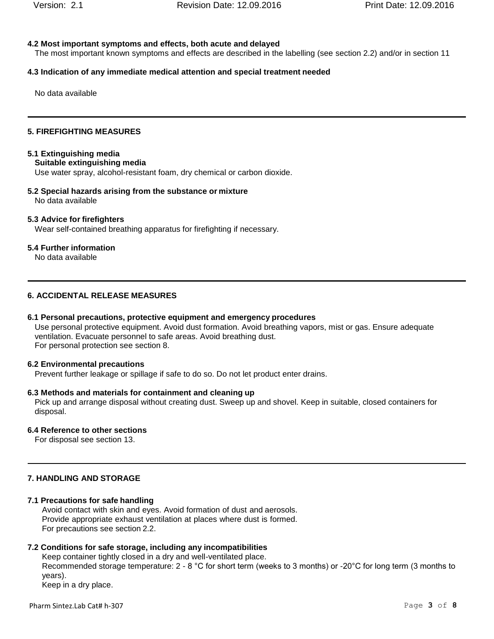## **4.2 Most important symptoms and effects, both acute and delayed**

The most important known symptoms and effects are described in the labelling (see section 2.2) and/or in section 11

# **4.3 Indication of any immediate medical attention and special treatment needed**

No data available

# **5. FIREFIGHTING MEASURES**

# **5.1 Extinguishing media**

# **Suitable extinguishing media**

Use water spray, alcohol-resistant foam, dry chemical or carbon dioxide.

**5.2 Special hazards arising from the substance or mixture** No data available

# **5.3 Advice for firefighters**

Wear self-contained breathing apparatus for firefighting if necessary.

# **5.4 Further information**

No data available

# **6. ACCIDENTAL RELEASE MEASURES**

# **6.1 Personal precautions, protective equipment and emergency procedures**

Use personal protective equipment. Avoid dust formation. Avoid breathing vapors, mist or gas. Ensure adequate ventilation. Evacuate personnel to safe areas. Avoid breathing dust. For personal protection see section 8.

# **6.2 Environmental precautions**

Prevent further leakage or spillage if safe to do so. Do not let product enter drains.

# **6.3 Methods and materials for containment and cleaning up**

Pick up and arrange disposal without creating dust. Sweep up and shovel. Keep in suitable, closed containers for disposal.

# **6.4 Reference to other sections**

For disposal see section 13.

# **7. HANDLING AND STORAGE**

# **7.1 Precautions for safe handling**

Avoid contact with skin and eyes. Avoid formation of dust and aerosols. Provide appropriate exhaust ventilation at places where dust is formed. For precautions see section 2.2.

# **7.2 Conditions for safe storage, including any incompatibilities**

Keep container tightly closed in a dry and well-ventilated place. Recommended storage temperature: 2 - 8 °C for short term (weeks to 3 months) or -20°C for long term (3 months to years). Keep in a dry place.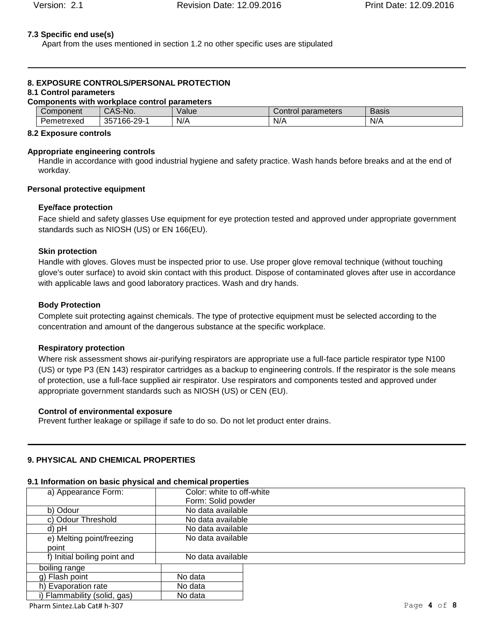### **7.3 Specific end use(s)**

Apart from the uses mentioned in section 1.2 no other specific uses are stipulated

# **8. EXPOSURE CONTROLS/PERSONAL PROTECTION**

# **8.1 Control parameters**

| <b>Components with workplace control parameters</b> |             |       |                    |              |
|-----------------------------------------------------|-------------|-------|--------------------|--------------|
| Component                                           | CAS-No.     | Value | Control parameters | <b>Basis</b> |
| Pemetrexed                                          | 357166-29-1 | N/A   | N/A                | N/A          |

#### **8.2 Exposure controls**

#### **Appropriate engineering controls**

Handle in accordance with good industrial hygiene and safety practice. Wash hands before breaks and at the end of workday.

#### **Personal protective equipment**

## **Eye/face protection**

Face shield and safety glasses Use equipment for eye protection tested and approved under appropriate government standards such as NIOSH (US) or EN 166(EU).

## **Skin protection**

Handle with gloves. Gloves must be inspected prior to use. Use proper glove removal technique (without touching glove's outer surface) to avoid skin contact with this product. Dispose of contaminated gloves after use in accordance with applicable laws and good laboratory practices. Wash and dry hands.

#### **Body Protection**

Complete suit protecting against chemicals. The type of protective equipment must be selected according to the concentration and amount of the dangerous substance at the specific workplace.

#### **Respiratory protection**

Where risk assessment shows air-purifying respirators are appropriate use a full-face particle respirator type N100 (US) or type P3 (EN 143) respirator cartridges as a backup to engineering controls. If the respirator is the sole means of protection, use a full-face supplied air respirator. Use respirators and components tested and approved under appropriate government standards such as NIOSH (US) or CEN (EU).

#### **Control of environmental exposure**

Prevent further leakage or spillage if safe to do so. Do not let product enter drains.

## **9. PHYSICAL AND CHEMICAL PROPERTIES**

# **9.1 Information on basic physical and chemical properties**

| a) Appearance Form:          | Color: white to off-white |  |
|------------------------------|---------------------------|--|
|                              | Form: Solid powder        |  |
| b) Odour                     | No data available         |  |
| c) Odour Threshold           | No data available         |  |
| d) pH                        | No data available         |  |
| e) Melting point/freezing    | No data available         |  |
| point                        |                           |  |
| f) Initial boiling point and | No data available         |  |
| boiling range                |                           |  |
| g) Flash point               | No data                   |  |
| h) Evaporation rate          | No data                   |  |
| i) Flammability (solid, gas) | No data                   |  |

Pharm Sintez.Lab Cat# [h-307](#page-0-0) Page **4** of **8**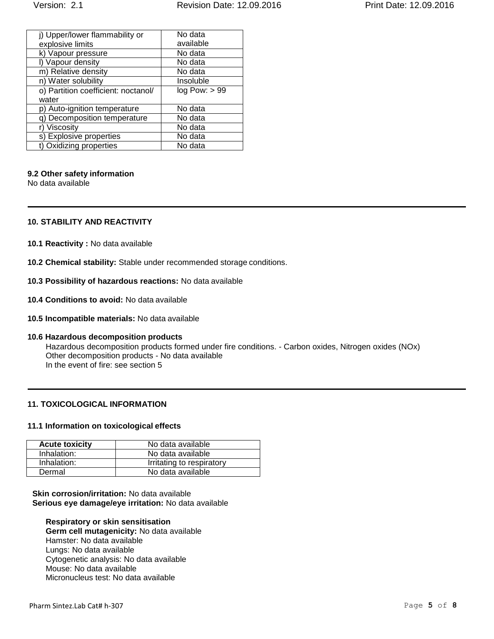| j) Upper/lower flammability or      | No data<br>available |
|-------------------------------------|----------------------|
| explosive limits                    |                      |
| k) Vapour pressure                  | No data              |
| I) Vapour density                   | No data              |
| m) Relative density                 | No data              |
| n) Water solubility                 | Insoluble            |
| o) Partition coefficient: noctanol/ | log Pow: > 99        |
| water                               |                      |
| p) Auto-ignition temperature        | No data              |
| q) Decomposition temperature        | No data              |
| Viscosity                           | No data              |
| s) Explosive properties             | No data              |
| Oxidizing properties                | No data              |

## **9.2 Other safety information**

No data available

## **10. STABILITY AND REACTIVITY**

- **10.1 Reactivity :** No data available
- **10.2 Chemical stability:** Stable under recommended storage conditions.
- **10.3 Possibility of hazardous reactions:** No data available
- **10.4 Conditions to avoid:** No data available
- **10.5 Incompatible materials:** No data available

#### **10.6 Hazardous decomposition products**

Hazardous decomposition products formed under fire conditions. - Carbon oxides, Nitrogen oxides (NOx) Other decomposition products - No data available In the event of fire: see section 5

# **11. TOXICOLOGICAL INFORMATION**

# **11.1 Information on toxicological effects**

| <b>Acute toxicity</b> | No data available         |
|-----------------------|---------------------------|
| Inhalation:           | No data available         |
| Inhalation:           | Irritating to respiratory |
| Dermal                | No data available         |

# **Skin corrosion/irritation:** No data available **Serious eye damage/eye irritation:** No data available

# **Respiratory or skin sensitisation**

**Germ cell mutagenicity:** No data available Hamster: No data available Lungs: No data available Cytogenetic analysis: No data available Mouse: No data available Micronucleus test: No data available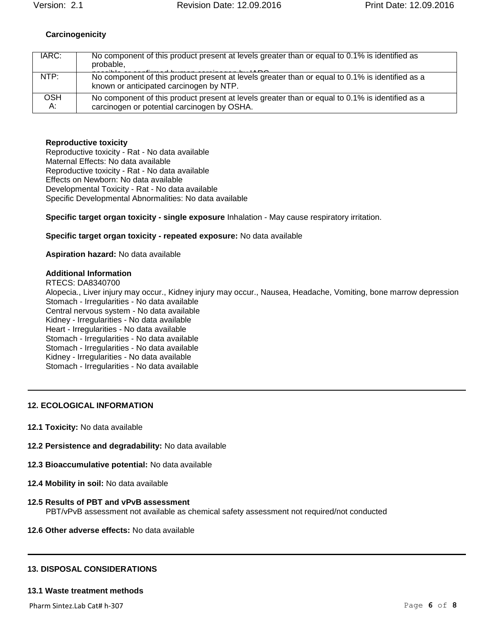# **Carcinogenicity**

| IARC:      | No component of this product present at levels greater than or equal to 0.1% is identified as<br>probable,                                     |
|------------|------------------------------------------------------------------------------------------------------------------------------------------------|
| NTP:       | No component of this product present at levels greater than or equal to 0.1% is identified as a<br>known or anticipated carcinogen by NTP.     |
| OSH.<br>А: | No component of this product present at levels greater than or equal to 0.1% is identified as a<br>carcinogen or potential carcinogen by OSHA. |

## **Reproductive toxicity**

Reproductive toxicity - Rat - No data available Maternal Effects: No data available Reproductive toxicity - Rat - No data available Effects on Newborn: No data available Developmental Toxicity - Rat - No data available Specific Developmental Abnormalities: No data available

**Specific target organ toxicity - single exposure** Inhalation - May cause respiratory irritation.

#### **Specific target organ toxicity - repeated exposure:** No data available

#### **Aspiration hazard:** No data available

## **Additional Information**

RTECS: DA8340700 Alopecia., Liver injury may occur., Kidney injury may occur., Nausea, Headache, Vomiting, bone marrow depression Stomach - Irregularities - No data available Central nervous system - No data available Kidney - Irregularities - No data available Heart - Irregularities - No data available Stomach - Irregularities - No data available Stomach - Irregularities - No data available Kidney - Irregularities - No data available Stomach - Irregularities - No data available

# **12. ECOLOGICAL INFORMATION**

- **12.1 Toxicity:** No data available
- **12.2 Persistence and degradability:** No data available
- **12.3 Bioaccumulative potential:** No data available
- **12.4 Mobility in soil:** No data available

#### **12.5 Results of PBT and vPvB assessment** PBT/vPvB assessment not available as chemical safety assessment not required/not conducted

**12.6 Other adverse effects:** No data available

#### **13. DISPOSAL CONSIDERATIONS**

#### **13.1 Waste treatment methods**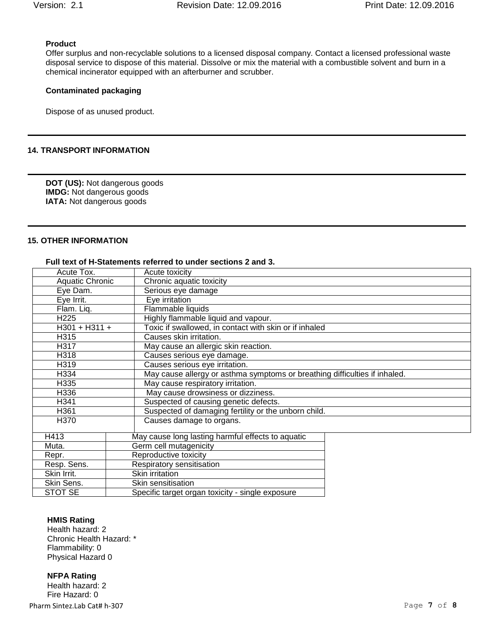# **Product**

Offer surplus and non-recyclable solutions to a licensed disposal company. Contact a licensed professional waste disposal service to dispose of this material. Dissolve or mix the material with a combustible solvent and burn in a chemical incinerator equipped with an afterburner and scrubber.

## **Contaminated packaging**

Dispose of as unused product.

### **14. TRANSPORT INFORMATION**

**DOT (US):** Not dangerous goods **IMDG:** Not dangerous goods **IATA:** Not dangerous goods

# **15. OTHER INFORMATION**

#### **Full text of H-Statements referred to under sections 2 and 3.**

| Acute Tox.                                    | Acute toxicity                                                             |  |
|-----------------------------------------------|----------------------------------------------------------------------------|--|
| <b>Aquatic Chronic</b>                        | Chronic aquatic toxicity                                                   |  |
| Eye Dam.                                      | Serious eye damage                                                         |  |
| Eye Irrit.                                    | Eye irritation                                                             |  |
| Flam. Liq.                                    | Flammable liquids                                                          |  |
| H <sub>225</sub>                              | Highly flammable liquid and vapour.                                        |  |
| $H301 + H311 +$                               | Toxic if swallowed, in contact with skin or if inhaled                     |  |
| H315                                          | Causes skin irritation.                                                    |  |
| H317                                          | May cause an allergic skin reaction.                                       |  |
| H318                                          | Causes serious eye damage.                                                 |  |
| H319                                          | Causes serious eye irritation.                                             |  |
| H334                                          | May cause allergy or asthma symptoms or breathing difficulties if inhaled. |  |
| May cause respiratory irritation.<br>H335     |                                                                            |  |
| May cause drowsiness or dizziness.<br>H336    |                                                                            |  |
| Suspected of causing genetic defects.<br>H341 |                                                                            |  |
| H361                                          | Suspected of damaging fertility or the unborn child.                       |  |
| H370                                          | Causes damage to organs.                                                   |  |
|                                               |                                                                            |  |
| H413                                          | May cause long lasting harmful effects to aquatic                          |  |
| Muta.                                         | Germ cell mutagenicity                                                     |  |
| Repr.                                         | Reproductive toxicity                                                      |  |
|                                               | Resp. Sens.<br>Respiratory sensitisation                                   |  |
| Skin Irrit.                                   | Skin irritation                                                            |  |
| Skin Sens.                                    | Skin sensitisation                                                         |  |
| STOT SE                                       | Specific target organ toxicity - single exposure                           |  |

# **HMIS Rating**

Health hazard: 2 Chronic Health Hazard: \* Flammability: 0 Physical Hazard 0

Pharm Sintez.Lab Cat# [h-307](#page-0-0) Page **7** of **8 NFPA Rating** Health hazard: 2 Fire Hazard: 0